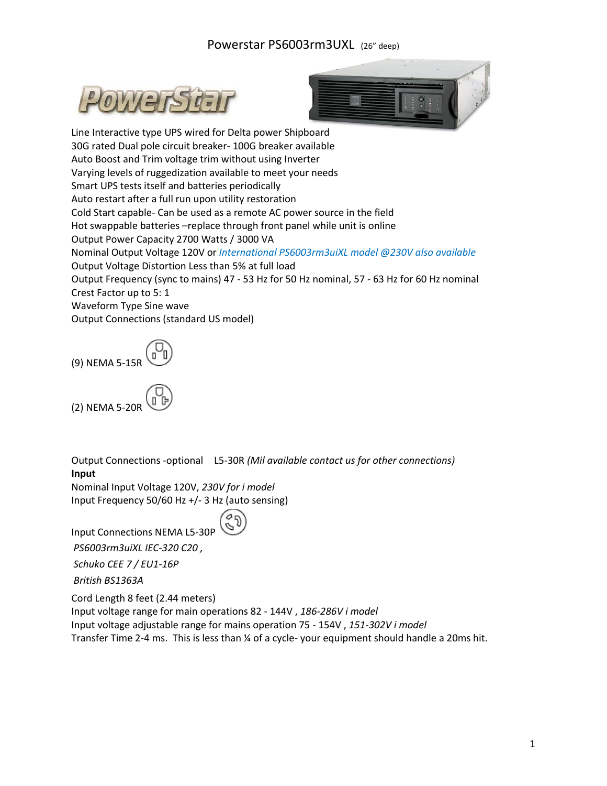



Line Interactive type UPS wired for Delta power Shipboard 30G rated Dual pole circuit breaker- 100G breaker available Auto Boost and Trim voltage trim without using Inverter Varying levels of ruggedization available to meet your needs Smart UPS tests itself and batteries periodically Auto restart after a full run upon utility restoration Cold Start capable- Can be used as a remote AC power source in the field Hot swappable batteries –replace through front panel while unit is online Output Power Capacity 2700 Watts / 3000 VA Nominal Output Voltage 120V or *International PS6003rm3uiXL model @230V also available* Output Voltage Distortion Less than 5% at full load Output Frequency (sync to mains) 47 - 53 Hz for 50 Hz nominal, 57 - 63 Hz for 60 Hz nominal Crest Factor up to 5: 1 Waveform Type Sine wave Output Connections (standard US model)

(9) NEMA 5-15R

(2) NEMA 5-20R

Output Connections -optional L5-30R *(Mil available contact us for other connections)*  **Input**

Nominal Input Voltage 120V, *230V for i model* Input Frequency 50/60 Hz +/- 3 Hz (auto sensing)

Input Connections NEMA L5-30F

*PS6003rm3uiXL IEC-320 C20 ,*

*Schuko CEE 7 / EU1-16P* 

*British BS1363A* 

Cord Length 8 feet (2.44 meters) Input voltage range for main operations 82 - 144V , *186-286V i model* Input voltage adjustable range for mains operation 75 - 154V , *151-302V i model* Transfer Time 2-4 ms. This is less than ¼ of a cycle- your equipment should handle a 20ms hit.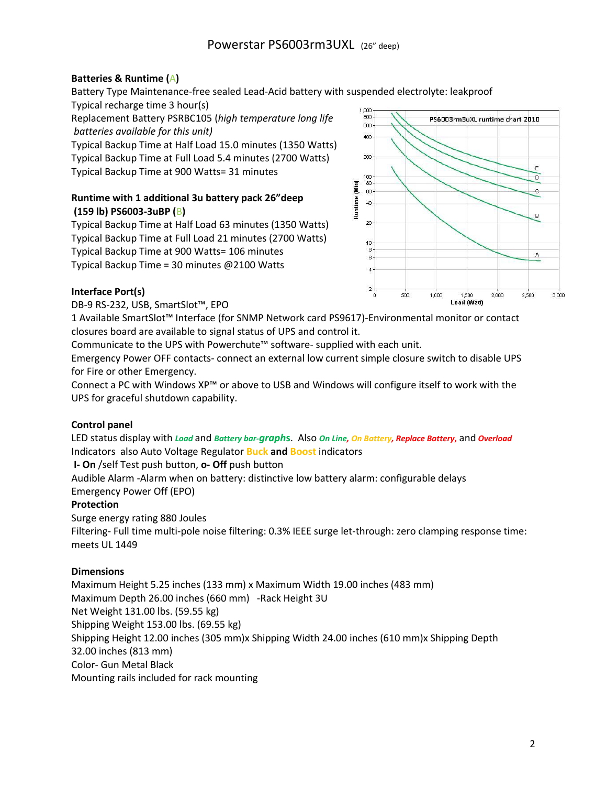## **Batteries & Runtime (**A**)**

Battery Type Maintenance-free sealed Lead-Acid battery with suspended electrolyte: leakproof

Typical recharge time 3 hour(s)

Replacement Battery PSRBC105 (*high temperature long life batteries available for this unit)*

Typical Backup Time at Half Load 15.0 minutes (1350 Watts) Typical Backup Time at Full Load 5.4 minutes (2700 Watts) Typical Backup Time at 900 Watts= 31 minutes

# **Runtime with 1 additional 3u battery pack 26"deep (159 lb) PS6003-3uBP (**B**)**

Typical Backup Time at Half Load 63 minutes (1350 Watts) Typical Backup Time at Full Load 21 minutes (2700 Watts) Typical Backup Time at 900 Watts= 106 minutes Typical Backup Time = 30 minutes @2100 Watts



## **Interface Port(s)**

DB-9 RS-232, USB, SmartSlot™, EPO

1 Available SmartSlot™ Interface (for SNMP Network card PS9617)-Environmental monitor or contact closures board are available to signal status of UPS and control it.

Communicate to the UPS with Powerchute™ software- supplied with each unit.

Emergency Power OFF contacts- connect an external low current simple closure switch to disable UPS for Fire or other Emergency.

Connect a PC with Windows XP™ or above to USB and Windows will configure itself to work with the UPS for graceful shutdown capability.

## **Control panel**

LED status display with *Load* and *Battery bar-graph***s**. Also *On Line, On Battery, Replace Battery***,** and *Overload* Indicators also Auto Voltage Regulator **Buck and Boost** indicators

**I- On** /self Test push button, **o- Off** push button

Audible Alarm -Alarm when on battery: distinctive low battery alarm: configurable delays Emergency Power Off (EPO)

## **Protection**

Surge energy rating 880 Joules Filtering- Full time multi-pole noise filtering: 0.3% IEEE surge let-through: zero clamping response time: meets UL 1449

## **Dimensions**

Maximum Height 5.25 inches (133 mm) x Maximum Width 19.00 inches (483 mm) Maximum Depth 26.00 inches (660 mm) -Rack Height 3U Net Weight 131.00 lbs. (59.55 kg) Shipping Weight 153.00 lbs. (69.55 kg) Shipping Height 12.00 inches (305 mm)x Shipping Width 24.00 inches (610 mm)x Shipping Depth 32.00 inches (813 mm) Color- Gun Metal Black Mounting rails included for rack mounting